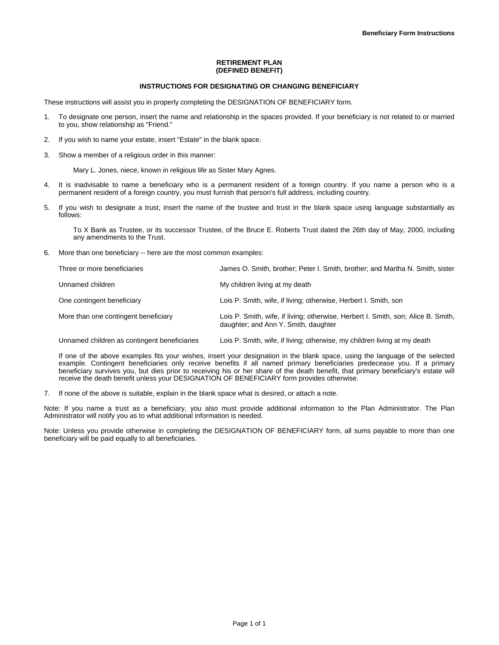# **RETIREMENT PLAN (DEFINED BENEFIT)**

### **INSTRUCTIONS FOR DESIGNATING OR CHANGING BENEFICIARY**

These instructions will assist you in properly completing the DESIGNATION OF BENEFICIARY form.

- 1. To designate one person, insert the name and relationship in the spaces provided. If your beneficiary is not related to or married to you, show relationship as "Friend."
- 2. If you wish to name your estate, insert "Estate" in the blank space.
- 3. Show a member of a religious order in this manner:

Mary L. Jones, niece, known in religious life as Sister Mary Agnes.

- 4. It is inadvisable to name a beneficiary who is a permanent resident of a foreign country. If you name a person who is a permanent resident of a foreign country, you must furnish that person's full address, including country.
- 5. If you wish to designate a trust, insert the name of the trustee and trust in the blank space using language substantially as follows:

To X Bank as Trustee, or its successor Trustee, of the Bruce E. Roberts Trust dated the 26th day of May, 2000, including any amendments to the Trust.

6. More than one beneficiary -- here are the most common examples:

| Three or more beneficiaries          | James O. Smith, brother: Peter I. Smith, brother: and Martha N. Smith, sister                                             |
|--------------------------------------|---------------------------------------------------------------------------------------------------------------------------|
| Unnamed children                     | My children living at my death                                                                                            |
| One contingent beneficiary           | Lois P. Smith, wife, if living; otherwise, Herbert I. Smith, son                                                          |
| More than one contingent beneficiary | Lois P. Smith, wife, if living; otherwise, Herbert I. Smith, son; Alice B. Smith,<br>daughter; and Ann Y. Smith, daughter |

Unnamed children as contingent beneficiaries Lois P. Smith, wife, if living; otherwise, my children living at my death

If one of the above examples fits your wishes, insert your designation in the blank space, using the language of the selected example. Contingent beneficiaries only receive benefits if all named primary beneficiaries predecease you. If a primary beneficiary survives you, but dies prior to receiving his or her share of the death benefit, that primary beneficiary's estate will receive the death benefit unless your DESIGNATION OF BENEFICIARY form provides otherwise.

7. If none of the above is suitable, explain in the blank space what is desired, or attach a note.

Note: If you name a trust as a beneficiary, you also must provide additional information to the Plan Administrator. The Plan Administrator will notify you as to what additional information is needed.

Note: Unless you provide otherwise in completing the DESIGNATION OF BENEFICIARY form, all sums payable to more than one beneficiary will be paid equally to all beneficiaries.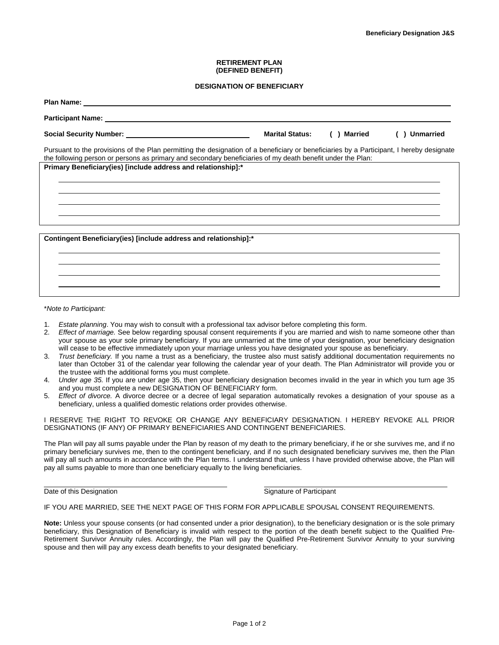### **RETIREMENT PLAN (DEFINED BENEFIT)**

### **DESIGNATION OF BENEFICIARY**

|                                                                                                                                                                                                                                                        | <b>Marital Status:</b> | ( ) Married | <b>Unmarried</b> |
|--------------------------------------------------------------------------------------------------------------------------------------------------------------------------------------------------------------------------------------------------------|------------------------|-------------|------------------|
| Pursuant to the provisions of the Plan permitting the designation of a beneficiary or beneficiaries by a Participant, I hereby designate<br>the following person or persons as primary and secondary beneficiaries of my death benefit under the Plan: |                        |             |                  |
| Primary Beneficiary(ies) [include address and relationship]:*                                                                                                                                                                                          |                        |             |                  |
|                                                                                                                                                                                                                                                        |                        |             |                  |
|                                                                                                                                                                                                                                                        |                        |             |                  |
|                                                                                                                                                                                                                                                        |                        |             |                  |
|                                                                                                                                                                                                                                                        |                        |             |                  |
| Contingent Beneficiary (ies) [include address and relationship]:*                                                                                                                                                                                      |                        |             |                  |
|                                                                                                                                                                                                                                                        |                        |             |                  |
|                                                                                                                                                                                                                                                        |                        |             |                  |
|                                                                                                                                                                                                                                                        |                        |             |                  |

\**Note to Participant:*

- 1. *Estate planning*. You may wish to consult with a professional tax advisor before completing this form.
- 2. *Effect of marriage.* See below regarding spousal consent requirements if you are married and wish to name someone other than your spouse as your sole primary beneficiary. If you are unmarried at the time of your designation, your beneficiary designation will cease to be effective immediately upon your marriage unless you have designated your spouse as beneficiary.
- 3. *Trust beneficiary.* If you name a trust as a beneficiary, the trustee also must satisfy additional documentation requirements no later than October 31 of the calendar year following the calendar year of your death. The Plan Administrator will provide you or the trustee with the additional forms you must complete.
- 4. *Under age 35.* If you are under age 35, then your beneficiary designation becomes invalid in the year in which you turn age 35 and you must complete a new DESIGNATION OF BENEFICIARY form.
- 5. *Effect of divorce.* A divorce decree or a decree of legal separation automatically revokes a designation of your spouse as a beneficiary, unless a qualified domestic relations order provides otherwise.

I RESERVE THE RIGHT TO REVOKE OR CHANGE ANY BENEFICIARY DESIGNATION. I HEREBY REVOKE ALL PRIOR DESIGNATIONS (IF ANY) OF PRIMARY BENEFICIARIES AND CONTINGENT BENEFICIARIES.

The Plan will pay all sums payable under the Plan by reason of my death to the primary beneficiary, if he or she survives me, and if no primary beneficiary survives me, then to the contingent beneficiary, and if no such designated beneficiary survives me, then the Plan will pay all such amounts in accordance with the Plan terms. I understand that, unless I have provided otherwise above, the Plan will pay all sums payable to more than one beneficiary equally to the living beneficiaries.

Date of this Designation **Signature of Participant** Signature of Participant

l

# IF YOU ARE MARRIED, SEE THE NEXT PAGE OF THIS FORM FOR APPLICABLE SPOUSAL CONSENT REQUIREMENTS.

**Note:** Unless your spouse consents (or had consented under a prior designation), to the beneficiary designation or is the sole primary beneficiary, this Designation of Beneficiary is invalid with respect to the portion of the death benefit subject to the Qualified Pre-Retirement Survivor Annuity rules. Accordingly, the Plan will pay the Qualified Pre-Retirement Survivor Annuity to your surviving spouse and then will pay any excess death benefits to your designated beneficiary.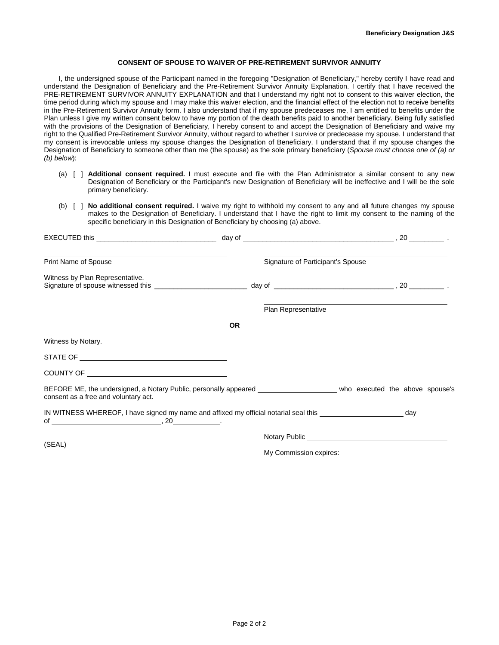# **CONSENT OF SPOUSE TO WAIVER OF PRE-RETIREMENT SURVIVOR ANNUITY**

I, the undersigned spouse of the Participant named in the foregoing "Designation of Beneficiary," hereby certify I have read and understand the Designation of Beneficiary and the Pre-Retirement Survivor Annuity Explanation. I certify that I have received the PRE-RETIREMENT SURVIVOR ANNUITY EXPLANATION and that I understand my right not to consent to this waiver election, the time period during which my spouse and I may make this waiver election, and the financial effect of the election not to receive benefits in the Pre-Retirement Survivor Annuity form. I also understand that if my spouse predeceases me, I am entitled to benefits under the Plan unless I give my written consent below to have my portion of the death benefits paid to another beneficiary. Being fully satisfied with the provisions of the Designation of Beneficiary, I hereby consent to and accept the Designation of Beneficiary and waive my right to the Qualified Pre-Retirement Survivor Annuity, without regard to whether I survive or predecease my spouse. I understand that my consent is irrevocable unless my spouse changes the Designation of Beneficiary. I understand that if my spouse changes the Designation of Beneficiary to someone other than me (the spouse) as the sole primary beneficiary (*Spouse must choose one of (a) or (b) below*):

- (a) [ ] **Additional consent required.** I must execute and file with the Plan Administrator a similar consent to any new Designation of Beneficiary or the Participant's new Designation of Beneficiary will be ineffective and I will be the sole primary beneficiary.
- (b) [ ] **No additional consent required.** I waive my right to withhold my consent to any and all future changes my spouse makes to the Designation of Beneficiary. I understand that I have the right to limit my consent to the naming of the specific beneficiary in this Designation of Beneficiary by choosing (a) above.

| Print Name of Spouse                                                                                                                                               |           | Signature of Participant's Spouse |  |  |  |
|--------------------------------------------------------------------------------------------------------------------------------------------------------------------|-----------|-----------------------------------|--|--|--|
| Witness by Plan Representative.                                                                                                                                    |           |                                   |  |  |  |
|                                                                                                                                                                    |           | Plan Representative               |  |  |  |
|                                                                                                                                                                    | <b>OR</b> |                                   |  |  |  |
| Witness by Notary.                                                                                                                                                 |           |                                   |  |  |  |
|                                                                                                                                                                    |           |                                   |  |  |  |
|                                                                                                                                                                    |           |                                   |  |  |  |
| BEFORE ME, the undersigned, a Notary Public, personally appeared _________________________ who executed the above spouse's<br>consent as a free and voluntary act. |           |                                   |  |  |  |
| IN WITNESS WHEREOF, I have signed my name and affixed my official notarial seal this ________________________ day                                                  |           |                                   |  |  |  |
|                                                                                                                                                                    |           |                                   |  |  |  |
| (SEAL)                                                                                                                                                             |           |                                   |  |  |  |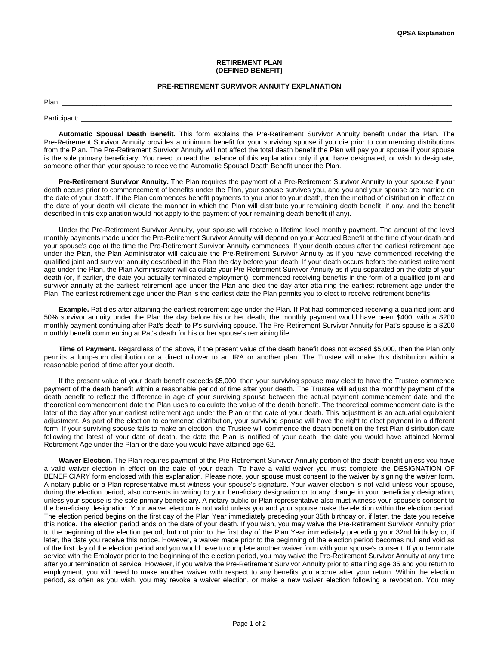### **RETIREMENT PLAN (DEFINED BENEFIT)**

### **PRE-RETIREMENT SURVIVOR ANNUITY EXPLANATION**

Plan: \_\_\_\_\_\_\_\_\_\_\_\_\_\_\_\_\_\_\_\_\_\_\_\_\_\_\_\_\_\_\_\_\_\_\_\_\_\_\_\_\_\_\_\_\_\_\_\_\_\_\_\_\_\_\_\_\_\_\_\_\_\_\_\_\_\_\_\_\_\_\_\_\_\_\_\_\_\_\_\_\_\_\_\_\_\_\_\_\_\_\_\_\_\_\_\_\_\_\_\_\_

Participant: \_\_\_\_\_\_\_\_\_\_\_\_\_\_\_\_\_\_\_\_\_\_\_\_\_\_\_\_\_\_\_\_\_\_\_\_\_\_\_\_\_\_\_\_\_\_\_\_\_\_\_\_\_\_\_\_\_\_\_\_\_\_\_\_\_\_\_\_\_\_\_\_\_\_\_\_\_\_\_\_\_\_\_\_\_\_\_\_\_\_\_\_\_\_\_\_

**Automatic Spousal Death Benefit.** This form explains the Pre-Retirement Survivor Annuity benefit under the Plan. The Pre-Retirement Survivor Annuity provides a minimum benefit for your surviving spouse if you die prior to commencing distributions from the Plan. The Pre-Retirement Survivor Annuity will not affect the total death benefit the Plan will pay your spouse if your spouse is the sole primary beneficiary. You need to read the balance of this explanation only if you have designated, or wish to designate, someone other than your spouse to receive the Automatic Spousal Death Benefit under the Plan.

**Pre-Retirement Survivor Annuity.** The Plan requires the payment of a Pre-Retirement Survivor Annuity to your spouse if your death occurs prior to commencement of benefits under the Plan, your spouse survives you, and you and your spouse are married on the date of your death. If the Plan commences benefit payments to you prior to your death, then the method of distribution in effect on the date of your death will dictate the manner in which the Plan will distribute your remaining death benefit, if any, and the benefit described in this explanation would not apply to the payment of your remaining death benefit (if any).

Under the Pre-Retirement Survivor Annuity, your spouse will receive a lifetime level monthly payment. The amount of the level monthly payments made under the Pre-Retirement Survivor Annuity will depend on your Accrued Benefit at the time of your death and your spouse's age at the time the Pre-Retirement Survivor Annuity commences. If your death occurs after the earliest retirement age under the Plan, the Plan Administrator will calculate the Pre-Retirement Survivor Annuity as if you have commenced receiving the qualified joint and survivor annuity described in the Plan the day before your death. If your death occurs before the earliest retirement age under the Plan, the Plan Administrator will calculate your Pre-Retirement Survivor Annuity as if you separated on the date of your death (or, if earlier, the date you actually terminated employment), commenced receiving benefits in the form of a qualified joint and survivor annuity at the earliest retirement age under the Plan and died the day after attaining the earliest retirement age under the Plan. The earliest retirement age under the Plan is the earliest date the Plan permits you to elect to receive retirement benefits.

**Example.** Pat dies after attaining the earliest retirement age under the Plan. If Pat had commenced receiving a qualified joint and 50% survivor annuity under the Plan the day before his or her death, the monthly payment would have been \$400, with a \$200 monthly payment continuing after Pat's death to P's surviving spouse. The Pre-Retirement Survivor Annuity for Pat's spouse is a \$200 monthly benefit commencing at Pat's death for his or her spouse's remaining life.

**Time of Payment.** Regardless of the above, if the present value of the death benefit does not exceed \$5,000, then the Plan only permits a lump-sum distribution or a direct rollover to an IRA or another plan. The Trustee will make this distribution within a reasonable period of time after your death.

If the present value of your death benefit exceeds \$5,000, then your surviving spouse may elect to have the Trustee commence payment of the death benefit within a reasonable period of time after your death. The Trustee will adjust the monthly payment of the death benefit to reflect the difference in age of your surviving spouse between the actual payment commencement date and the theoretical commencement date the Plan uses to calculate the value of the death benefit. The theoretical commencement date is the later of the day after your earliest retirement age under the Plan or the date of your death. This adjustment is an actuarial equivalent adjustment. As part of the election to commence distribution, your surviving spouse will have the right to elect payment in a different form. If your surviving spouse fails to make an election, the Trustee will commence the death benefit on the first Plan distribution date following the latest of your date of death, the date the Plan is notified of your death, the date you would have attained Normal Retirement Age under the Plan or the date you would have attained age 62.

**Waiver Election.** The Plan requires payment of the Pre-Retirement Survivor Annuity portion of the death benefit unless you have a valid waiver election in effect on the date of your death. To have a valid waiver you must complete the DESIGNATION OF BENEFICIARY form enclosed with this explanation. Please note, your spouse must consent to the waiver by signing the waiver form. A notary public or a Plan representative must witness your spouse's signature. Your waiver election is not valid unless your spouse, during the election period, also consents in writing to your beneficiary designation or to any change in your beneficiary designation, unless your spouse is the sole primary beneficiary. A notary public or Plan representative also must witness your spouse's consent to the beneficiary designation. Your waiver election is not valid unless you and your spouse make the election within the election period. The election period begins on the first day of the Plan Year immediately preceding your 35th birthday or, if later, the date you receive this notice. The election period ends on the date of your death. If you wish, you may waive the Pre-Retirement Survivor Annuity prior to the beginning of the election period, but not prior to the first day of the Plan Year immediately preceding your 32nd birthday or, if later, the date you receive this notice. However, a waiver made prior to the beginning of the election period becomes null and void as of the first day of the election period and you would have to complete another waiver form with your spouse's consent. If you terminate service with the Employer prior to the beginning of the election period, you may waive the Pre-Retirement Survivor Annuity at any time after your termination of service. However, if you waive the Pre-Retirement Survivor Annuity prior to attaining age 35 and you return to employment, you will need to make another waiver with respect to any benefits you accrue after your return. Within the election period, as often as you wish, you may revoke a waiver election, or make a new waiver election following a revocation. You may